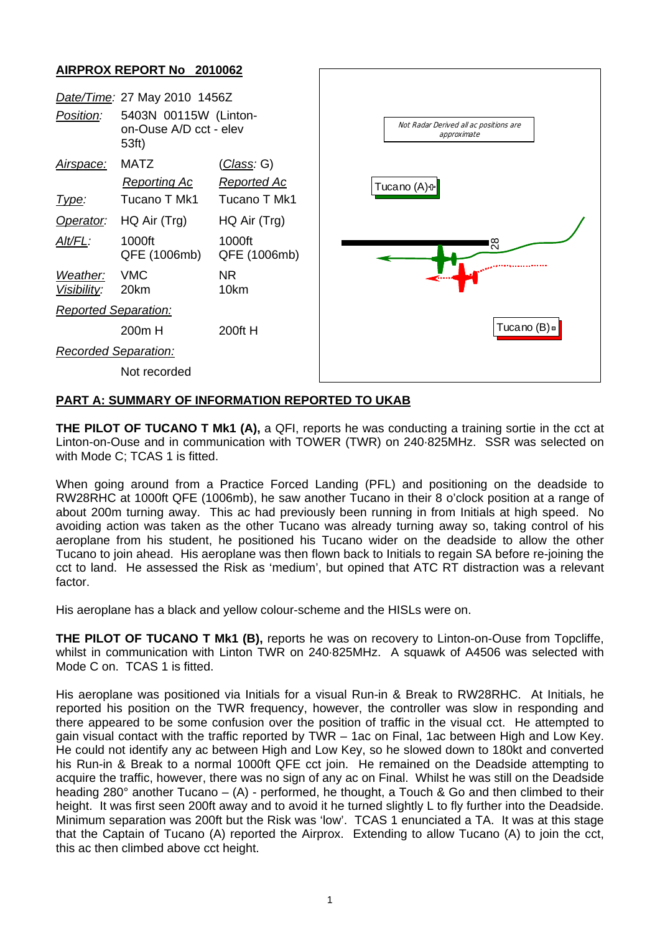## **AIRPROX REPORT No 2010062**



## **PART A: SUMMARY OF INFORMATION REPORTED TO UKAB**

**THE PILOT OF TUCANO T Mk1 (A), a QFI, reports he was conducting a training sortie in the cct at** Linton-on-Ouse and in communication with TOWER (TWR) on 240·825MHz. SSR was selected on with Mode C; TCAS 1 is fitted.

When going around from a Practice Forced Landing (PFL) and positioning on the deadside to RW28RHC at 1000ft QFE (1006mb), he saw another Tucano in their 8 o'clock position at a range of about 200m turning away. This ac had previously been running in from Initials at high speed. No avoiding action was taken as the other Tucano was already turning away so, taking control of his aeroplane from his student, he positioned his Tucano wider on the deadside to allow the other Tucano to join ahead. His aeroplane was then flown back to Initials to regain SA before re-joining the cct to land. He assessed the Risk as 'medium', but opined that ATC RT distraction was a relevant factor.

His aeroplane has a black and yellow colour-scheme and the HISLs were on.

**THE PILOT OF TUCANO T Mk1 (B),** reports he was on recovery to Linton-on-Ouse from Topcliffe, whilst in communication with Linton TWR on 240·825MHz. A squawk of A4506 was selected with Mode C on. TCAS 1 is fitted.

His aeroplane was positioned via Initials for a visual Run-in & Break to RW28RHC. At Initials, he reported his position on the TWR frequency, however, the controller was slow in responding and there appeared to be some confusion over the position of traffic in the visual cct. He attempted to gain visual contact with the traffic reported by TWR – 1ac on Final, 1ac between High and Low Key. He could not identify any ac between High and Low Key, so he slowed down to 180kt and converted his Run-in & Break to a normal 1000ft QFE cct join. He remained on the Deadside attempting to acquire the traffic, however, there was no sign of any ac on Final. Whilst he was still on the Deadside heading 280° another Tucano – (A) - performed, he thought, a Touch & Go and then climbed to their height. It was first seen 200ft away and to avoid it he turned slightly L to fly further into the Deadside. Minimum separation was 200ft but the Risk was 'low'. TCAS 1 enunciated a TA. It was at this stage that the Captain of Tucano (A) reported the Airprox. Extending to allow Tucano (A) to join the cct, this ac then climbed above cct height.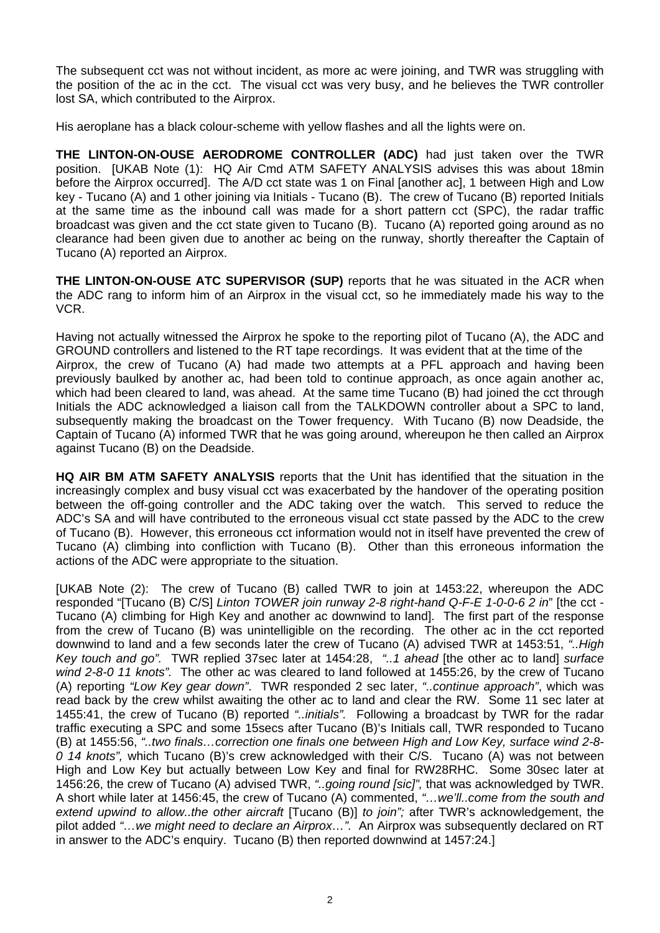The subsequent cct was not without incident, as more ac were joining, and TWR was struggling with the position of the ac in the cct. The visual cct was very busy, and he believes the TWR controller lost SA, which contributed to the Airprox.

His aeroplane has a black colour-scheme with yellow flashes and all the lights were on.

**THE LINTON-ON-OUSE AERODROME CONTROLLER (ADC)** had just taken over the TWR position. [UKAB Note (1): HQ Air Cmd ATM SAFETY ANALYSIS advises this was about 18min before the Airprox occurred]. The A/D cct state was 1 on Final [another ac], 1 between High and Low key - Tucano (A) and 1 other joining via Initials - Tucano (B). The crew of Tucano (B) reported Initials at the same time as the inbound call was made for a short pattern cct (SPC), the radar traffic broadcast was given and the cct state given to Tucano (B). Tucano (A) reported going around as no clearance had been given due to another ac being on the runway, shortly thereafter the Captain of Tucano (A) reported an Airprox.

**THE LINTON-ON-OUSE ATC SUPERVISOR (SUP)** reports that he was situated in the ACR when the ADC rang to inform him of an Airprox in the visual cct, so he immediately made his way to the VCR.

Having not actually witnessed the Airprox he spoke to the reporting pilot of Tucano (A), the ADC and GROUND controllers and listened to the RT tape recordings. It was evident that at the time of the Airprox, the crew of Tucano (A) had made two attempts at a PFL approach and having been previously baulked by another ac, had been told to continue approach, as once again another ac, which had been cleared to land, was ahead. At the same time Tucano (B) had joined the cct through Initials the ADC acknowledged a liaison call from the TALKDOWN controller about a SPC to land, subsequently making the broadcast on the Tower frequency. With Tucano (B) now Deadside, the Captain of Tucano (A) informed TWR that he was going around, whereupon he then called an Airprox against Tucano (B) on the Deadside.

**HQ AIR BM ATM SAFETY ANALYSIS** reports that the Unit has identified that the situation in the increasingly complex and busy visual cct was exacerbated by the handover of the operating position between the off-going controller and the ADC taking over the watch. This served to reduce the ADC's SA and will have contributed to the erroneous visual cct state passed by the ADC to the crew of Tucano (B). However, this erroneous cct information would not in itself have prevented the crew of Tucano (A) climbing into confliction with Tucano (B). Other than this erroneous information the actions of the ADC were appropriate to the situation.

[UKAB Note (2): The crew of Tucano (B) called TWR to join at 1453:22, whereupon the ADC responded "[Tucano (B) C/S] *Linton TOWER join runway 2-8 right-hand Q-F-E 1-0-0-6 2 in*" [the cct - Tucano (A) climbing for High Key and another ac downwind to land]. The first part of the response from the crew of Tucano (B) was unintelligible on the recording. The other ac in the cct reported downwind to land and a few seconds later the crew of Tucano (A) advised TWR at 1453:51, *"..High Key touch and go".* TWR replied 37sec later at 1454:28, *"..1 ahead* [the other ac to land] *surface wind 2-8-0 11 knots".* The other ac was cleared to land followed at 1455:26, by the crew of Tucano (A) reporting *"Low Key gear down"*. TWR responded 2 sec later, *"..continue approach"*, which was read back by the crew whilst awaiting the other ac to land and clear the RW. Some 11 sec later at 1455:41, the crew of Tucano (B) reported *"..initials".* Following a broadcast by TWR for the radar traffic executing a SPC and some 15secs after Tucano (B)'s Initials call, TWR responded to Tucano (B) at 1455:56, *"..two finals…correction one finals one between High and Low Key, surface wind 2-8- 0 14 knots",* which Tucano (B)'s crew acknowledged with their C/S. Tucano (A) was not between High and Low Key but actually between Low Key and final for RW28RHC. Some 30sec later at 1456:26, the crew of Tucano (A) advised TWR, *"..going round [sic]",* that was acknowledged by TWR. A short while later at 1456:45, the crew of Tucano (A) commented, *"…we'll..come from the south and extend upwind to allow..the other aircraft* [Tucano (B)] *to join";* after TWR's acknowledgement, the pilot added *"…we might need to declare an Airprox…".* An Airprox was subsequently declared on RT in answer to the ADC's enquiry. Tucano (B) then reported downwind at 1457:24.]